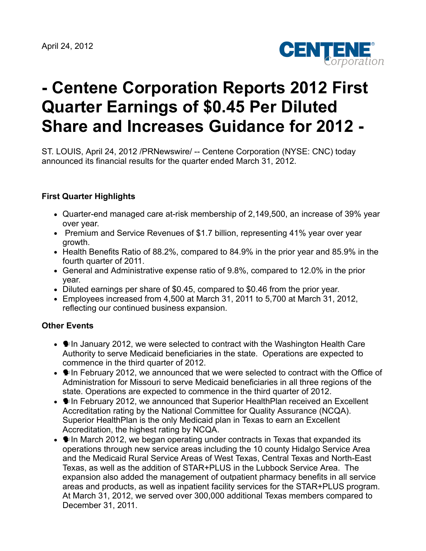

# **- Centene Corporation Reports 2012 First Quarter Earnings of \$0.45 Per Diluted Share and Increases Guidance for 2012 -**

ST. LOUIS, April 24, 2012 /PRNewswire/ -- Centene Corporation (NYSE: CNC) today announced its financial results for the quarter ended March 31, 2012.

# **First Quarter Highlights**

- Quarter-end managed care at-risk membership of 2,149,500, an increase of 39% year over year.
- Premium and Service Revenues of \$1.7 billion, representing 41% year over year growth.
- Health Benefits Ratio of 88.2%, compared to 84.9% in the prior year and 85.9% in the fourth quarter of 2011.
- General and Administrative expense ratio of 9.8%, compared to 12.0% in the prior year.
- Diluted earnings per share of \$0.45, compared to \$0.46 from the prior year.
- Employees increased from 4,500 at March 31, 2011 to 5,700 at March 31, 2012, reflecting our continued business expansion.

### **Other Events**

- $\bullet$   $\bullet$  In January 2012, we were selected to contract with the Washington Health Care Authority to serve Medicaid beneficiaries in the state. Operations are expected to commence in the third quarter of 2012.
- $\bullet$   $\bullet$  In February 2012, we announced that we were selected to contract with the Office of Administration for Missouri to serve Medicaid beneficiaries in all three regions of the state. Operations are expected to commence in the third quarter of 2012.
- In February 2012, we announced that Superior HealthPlan received an Excellent Accreditation rating by the National Committee for Quality Assurance (NCQA). Superior HealthPlan is the only Medicaid plan in Texas to earn an Excellent Accreditation, the highest rating by NCQA.
- $\bullet$   $\bullet$  In March 2012, we began operating under contracts in Texas that expanded its operations through new service areas including the 10 county Hidalgo Service Area and the Medicaid Rural Service Areas of West Texas, Central Texas and North-East Texas, as well as the addition of STAR+PLUS in the Lubbock Service Area. The expansion also added the management of outpatient pharmacy benefits in all service areas and products, as well as inpatient facility services for the STAR+PLUS program. At March 31, 2012, we served over 300,000 additional Texas members compared to December 31, 2011.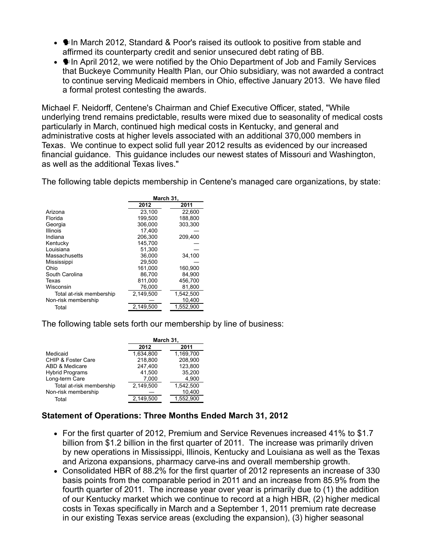- **I. In March 2012, Standard & Poor's raised its outlook to positive from stable and it also** affirmed its counterparty credit and senior unsecured debt rating of BB.
- $\bullet$   $\bullet$  In April 2012, we were notified by the Ohio Department of Job and Family Services that Buckeye Community Health Plan, our Ohio subsidiary, was not awarded a contract to continue serving Medicaid members in Ohio, effective January 2013. We have filed a formal protest contesting the awards.

Michael F. Neidorff, Centene's Chairman and Chief Executive Officer, stated, "While underlying trend remains predictable, results were mixed due to seasonality of medical costs particularly in March, continued high medical costs in Kentucky, and general and administrative costs at higher levels associated with an additional 370,000 members in Texas. We continue to expect solid full year 2012 results as evidenced by our increased financial guidance. This guidance includes our newest states of Missouri and Washington, as well as the additional Texas lives."

The following table depicts membership in Centene's managed care organizations, by state:

|                          | March 31, |           |  |  |
|--------------------------|-----------|-----------|--|--|
|                          | 2012      | 2011      |  |  |
| Arizona                  | 23,100    | 22.600    |  |  |
| Florida                  | 199.500   | 188,800   |  |  |
| Georgia                  | 306.000   | 303,300   |  |  |
| <b>Illinois</b>          | 17.400    |           |  |  |
| Indiana                  | 206,300   | 209,400   |  |  |
| Kentucky                 | 145,700   |           |  |  |
| Louisiana                | 51.300    |           |  |  |
| Massachusetts            | 36,000    | 34,100    |  |  |
| Mississippi              | 29.500    |           |  |  |
| Ohio                     | 161.000   | 160.900   |  |  |
| South Carolina           | 86.700    | 84.900    |  |  |
| Texas                    | 811,000   | 456,700   |  |  |
| Wisconsin                | 76,000    | 81,800    |  |  |
| Total at-risk membership | 2,149,500 | 1,542,500 |  |  |
| Non-risk membership      |           | 10,400    |  |  |
| Total                    | 2,149,500 | 1,552,900 |  |  |

The following table sets forth our membership by line of business:

|                               | March 31, |           |  |  |  |
|-------------------------------|-----------|-----------|--|--|--|
|                               | 2012      | 2011      |  |  |  |
| Medicaid                      | 1.634.800 | 1.169.700 |  |  |  |
| <b>CHIP &amp; Foster Care</b> | 218.800   | 208.900   |  |  |  |
| ABD & Medicare                | 247.400   | 123.800   |  |  |  |
| <b>Hybrid Programs</b>        | 41.500    | 35.200    |  |  |  |
| Long-term Care                | 7,000     | 4,900     |  |  |  |
| Total at-risk membership      | 2.149.500 | 1,542,500 |  |  |  |
| Non-risk membership           |           | 10,400    |  |  |  |
| Total                         | 2.149.500 | 1.552.900 |  |  |  |

### **Statement of Operations: Three Months Ended March 31, 2012**

- For the first quarter of 2012, Premium and Service Revenues increased 41% to \$1.7 billion from \$1.2 billion in the first quarter of 2011. The increase was primarily driven by new operations in Mississippi, Illinois, Kentucky and Louisiana as well as the Texas and Arizona expansions, pharmacy carve-ins and overall membership growth.
- Consolidated HBR of 88.2% for the first quarter of 2012 represents an increase of 330 basis points from the comparable period in 2011 and an increase from 85.9% from the fourth quarter of 2011. The increase year over year is primarily due to (1) the addition of our Kentucky market which we continue to record at a high HBR, (2) higher medical costs in Texas specifically in March and a September 1, 2011 premium rate decrease in our existing Texas service areas (excluding the expansion), (3) higher seasonal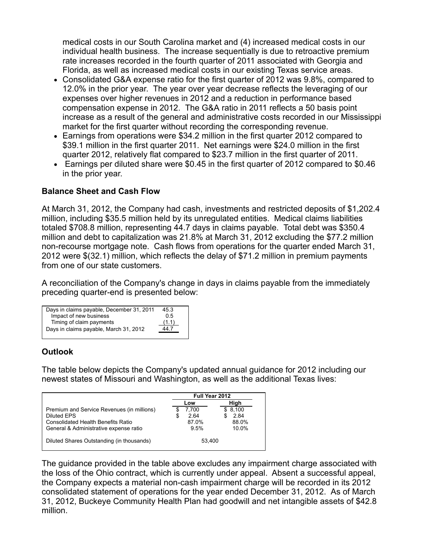medical costs in our South Carolina market and (4) increased medical costs in our individual health business. The increase sequentially is due to retroactive premium rate increases recorded in the fourth quarter of 2011 associated with Georgia and Florida, as well as increased medical costs in our existing Texas service areas.

- Consolidated G&A expense ratio for the first quarter of 2012 was 9.8%, compared to 12.0% in the prior year. The year over year decrease reflects the leveraging of our expenses over higher revenues in 2012 and a reduction in performance based compensation expense in 2012. The G&A ratio in 2011 reflects a 50 basis point increase as a result of the general and administrative costs recorded in our Mississippi market for the first quarter without recording the corresponding revenue.
- Earnings from operations were \$34.2 million in the first quarter 2012 compared to \$39.1 million in the first quarter 2011. Net earnings were \$24.0 million in the first quarter 2012, relatively flat compared to \$23.7 million in the first quarter of 2011.
- Earnings per diluted share were \$0.45 in the first quarter of 2012 compared to \$0.46 in the prior year.

### **Balance Sheet and Cash Flow**

At March 31, 2012, the Company had cash, investments and restricted deposits of \$1,202.4 million, including \$35.5 million held by its unregulated entities. Medical claims liabilities totaled \$708.8 million, representing 44.7 days in claims payable. Total debt was \$350.4 million and debt to capitalization was 21.8% at March 31, 2012 excluding the \$77.2 million non-recourse mortgage note. Cash flows from operations for the quarter ended March 31, 2012 were \$(32.1) million, which reflects the delay of \$71.2 million in premium payments from one of our state customers.

A reconciliation of the Company's change in days in claims payable from the immediately preceding quarter-end is presented below:

| Days in claims payable, December 31, 2011 | 45.3  |
|-------------------------------------------|-------|
| Impact of new business                    | 05    |
| Timing of claim payments                  | (1.1) |
| Days in claims payable, March 31, 2012    | 447   |
|                                           |       |

### **Outlook**

The table below depicts the Company's updated annual guidance for 2012 including our newest states of Missouri and Washington, as well as the additional Texas lives:

|                                            | Full Year 2012 |         |
|--------------------------------------------|----------------|---------|
|                                            | Low            | High    |
| Premium and Service Revenues (in millions) | 7.700          | \$8.100 |
| Diluted EPS                                | 2.64<br>S      | 2.84    |
| <b>Consolidated Health Benefits Ratio</b>  | 87.0%          | 88.0%   |
| General & Administrative expense ratio     | 9.5%           | 10.0%   |
| Diluted Shares Outstanding (in thousands)  | 53.400         |         |

The guidance provided in the table above excludes any impairment charge associated with the loss of the Ohio contract, which is currently under appeal. Absent a successful appeal, the Company expects a material non-cash impairment charge will be recorded in its 2012 consolidated statement of operations for the year ended December 31, 2012. As of March 31, 2012, Buckeye Community Health Plan had goodwill and net intangible assets of \$42.8 million.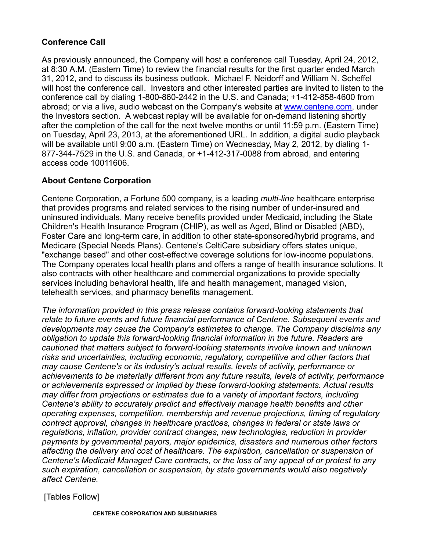## **Conference Call**

As previously announced, the Company will host a conference call Tuesday, April 24, 2012, at 8:30 A.M. (Eastern Time) to review the financial results for the first quarter ended March 31, 2012, and to discuss its business outlook. Michael F. Neidorff and William N. Scheffel will host the conference call. Investors and other interested parties are invited to listen to the conference call by dialing 1-800-860-2442 in the U.S. and Canada; +1-412-858-4600 from abroad; or via a live, audio webcast on the Company's website at [www.centene.com,](http://www.centene.com/) under the Investors section. A webcast replay will be available for on-demand listening shortly after the completion of the call for the next twelve months or until 11:59 p.m. (Eastern Time) on Tuesday, April 23, 2013, at the aforementioned URL. In addition, a digital audio playback will be available until 9:00 a.m. (Eastern Time) on Wednesday, May 2, 2012, by dialing 1- 877-344-7529 in the U.S. and Canada, or +1-412-317-0088 from abroad, and entering access code 10011606.

### **About Centene Corporation**

Centene Corporation, a Fortune 500 company, is a leading *multi-line* healthcare enterprise that provides programs and related services to the rising number of under-insured and uninsured individuals. Many receive benefits provided under Medicaid, including the State Children's Health Insurance Program (CHIP), as well as Aged, Blind or Disabled (ABD), Foster Care and long-term care, in addition to other state-sponsored/hybrid programs, and Medicare (Special Needs Plans). Centene's CeltiCare subsidiary offers states unique, "exchange based" and other cost-effective coverage solutions for low-income populations. The Company operates local health plans and offers a range of health insurance solutions. It also contracts with other healthcare and commercial organizations to provide specialty services including behavioral health, life and health management, managed vision, telehealth services, and pharmacy benefits management.

*The information provided in this press release contains forward-looking statements that relate to future events and future financial performance of Centene. Subsequent events and developments may cause the Company's estimates to change. The Company disclaims any obligation to update this forward-looking financial information in the future. Readers are cautioned that matters subject to forward-looking statements involve known and unknown risks and uncertainties, including economic, regulatory, competitive and other factors that may cause Centene's or its industry's actual results, levels of activity, performance or achievements to be materially different from any future results, levels of activity, performance or achievements expressed or implied by these forward-looking statements. Actual results may differ from projections or estimates due to a variety of important factors, including Centene's ability to accurately predict and effectively manage health benefits and other operating expenses, competition, membership and revenue projections, timing of regulatory contract approval, changes in healthcare practices, changes in federal or state laws or regulations, inflation, provider contract changes, new technologies, reduction in provider payments by governmental payors, major epidemics, disasters and numerous other factors affecting the delivery and cost of healthcare. The expiration, cancellation or suspension of Centene's Medicaid Managed Care contracts, or the loss of any appeal of or protest to any such expiration, cancellation or suspension, by state governments would also negatively affect Centene.*

[Tables Follow]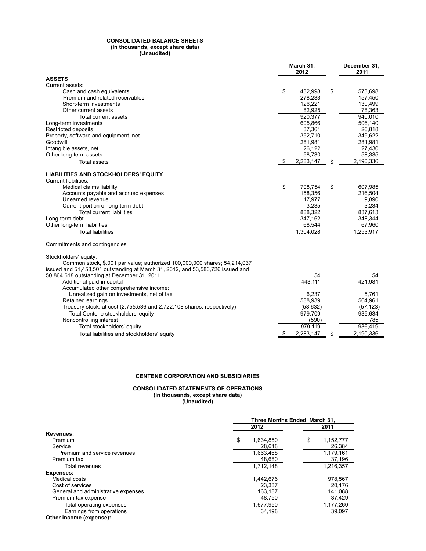#### **CONSOLIDATED BALANCE SHEETS (In thousands, except share data) (Unaudited)**

|                                                                                | March 31,<br>2012    | December 31.<br>2011 |
|--------------------------------------------------------------------------------|----------------------|----------------------|
| <b>ASSETS</b>                                                                  |                      |                      |
| Current assets:                                                                |                      |                      |
| Cash and cash equivalents                                                      | \$<br>432.998        | \$<br>573,698        |
| Premium and related receivables                                                | 278,233              | 157,450              |
| Short-term investments                                                         | 126,221              | 130,499              |
| Other current assets                                                           | 82,925               | 78,363               |
| Total current assets                                                           | 920,377              | 940.010              |
| Long-term investments                                                          | 605,866              | 506,140              |
| <b>Restricted deposits</b>                                                     | 37,361               | 26,818               |
| Property, software and equipment, net                                          | 352,710              | 349,622              |
| Goodwill                                                                       | 281,981              | 281,981              |
| Intangible assets, net                                                         | 26,122               | 27,430               |
| Other long-term assets                                                         | 58,730               | 58,335               |
| <b>Total assets</b>                                                            | \$<br>2,283,147      | \$<br>2,190,336      |
| <b>LIABILITIES AND STOCKHOLDERS' EQUITY</b><br><b>Current liabilities:</b>     |                      |                      |
| Medical claims liability                                                       | \$<br>708,754        | \$<br>607,985        |
| Accounts payable and accrued expenses                                          | 158,356              | 216,504              |
| Unearned revenue                                                               | 17,977               | 9,890                |
| Current portion of long-term debt                                              | 3,235                | 3,234                |
| <b>Total current liabilities</b>                                               | 888,322              | 837,613              |
| Long-term debt                                                                 | 347,162              | 348,344              |
| Other long-term liabilities                                                    | 68,544               | 67,960               |
| <b>Total liabilities</b>                                                       | 1,304,028            | 1,253,917            |
| Commitments and contingencies                                                  |                      |                      |
| Stockholders' equity:                                                          |                      |                      |
| Common stock, \$.001 par value; authorized 100,000,000 shares; 54,214,037      |                      |                      |
| issued and 51,458,501 outstanding at March 31, 2012, and 53,586,726 issued and |                      |                      |
| 50,864,618 outstanding at December 31, 2011                                    | 54                   | 54                   |
| Additional paid-in capital                                                     | 443,111              | 421,981              |
| Accumulated other comprehensive income:                                        |                      |                      |
| Unrealized gain on investments, net of tax                                     | 6,237                | 5,761                |
| Retained earnings                                                              | 588,939              | 564,961              |
| Treasury stock, at cost (2,755,536 and 2,722,108 shares, respectively)         | (58, 632)            | (57, 123)            |
| Total Centene stockholders' equity                                             | 979,709              | 935,634              |
| Noncontrolling interest                                                        | (590)                | 785                  |
| Total stockholders' equity                                                     | $\overline{979,119}$ | 936,419              |
| Total liabilities and stockholders' equity                                     | \$<br>2,283,147      | \$<br>2,190,336      |

### **CENTENE CORPORATION AND SUBSIDIARIES**

#### **CONSOLIDATED STATEMENTS OF OPERATIONS (In thousands, except share data) (Unaudited)**

|                                     | Three Months Ended March 31, |                 |  |
|-------------------------------------|------------------------------|-----------------|--|
|                                     | 2012                         | 2011            |  |
| Revenues:                           |                              |                 |  |
| Premium                             | \$<br>1.634.850              | \$<br>1,152,777 |  |
| Service                             | 28.618                       | 26,384          |  |
| Premium and service revenues        | 1,663,468                    | 1,179,161       |  |
| Premium tax                         | 48.680                       | 37,196          |  |
| Total revenues                      | 1.712.148                    | 1.216.357       |  |
| <b>Expenses:</b>                    |                              |                 |  |
| Medical costs                       | 1.442.676                    | 978.567         |  |
| Cost of services                    | 23.337                       | 20.176          |  |
| General and administrative expenses | 163.187                      | 141.088         |  |
| Premium tax expense                 | 48,750                       | 37,429          |  |
| Total operating expenses            | 1,677,950                    | 1,177,260       |  |
| Earnings from operations            | 34,198                       | 39.097          |  |
| Other income (expense):             |                              |                 |  |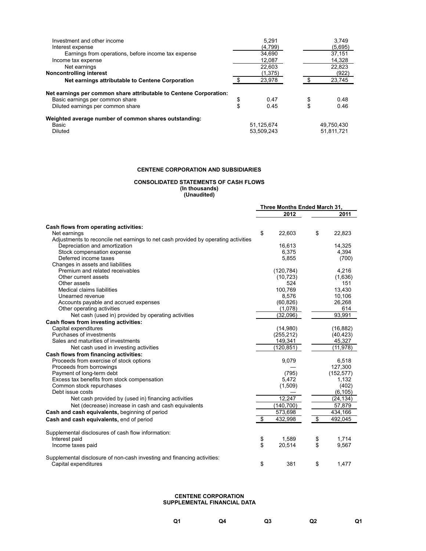| Investment and other income                                        | 5.291      |    | 3.749      |
|--------------------------------------------------------------------|------------|----|------------|
| Interest expense                                                   | (4,799)    |    | (5,695)    |
| Earnings from operations, before income tax expense                | 34.690     |    | 37.151     |
| Income tax expense                                                 | 12.087     |    | 14,328     |
| Net earnings                                                       | 22.603     |    | 22,823     |
| <b>Noncontrolling interest</b>                                     | (1,375)    |    | (922)      |
| Net earnings attributable to Centene Corporation                   | 23,978     | ፍ  | 23,745     |
| Net earnings per common share attributable to Centene Corporation: |            |    |            |
| Basic earnings per common share                                    | \$<br>0.47 | \$ | 0.48       |
| Diluted earnings per common share                                  | \$<br>0.45 |    | 0.46       |
| Weighted average number of common shares outstanding:              |            |    |            |
| Basic                                                              | 51,125,674 |    | 49.750.430 |
| Diluted                                                            | 53.509.243 |    | 51.811.721 |

### **CENTENE CORPORATION AND SUBSIDIARIES**

#### **CONSOLIDATED STATEMENTS OF CASH FLOWS (In thousands)**

**(Unaudited)**

|                                                                                                 | Three Months Ended March 31, |            |    |            |
|-------------------------------------------------------------------------------------------------|------------------------------|------------|----|------------|
|                                                                                                 |                              | 2012       |    | 2011       |
| Cash flows from operating activities:                                                           |                              |            |    |            |
| Net earnings                                                                                    | \$                           | 22,603     | \$ | 22,823     |
| Adjustments to reconcile net earnings to net cash provided by operating activities              |                              |            |    |            |
| Depreciation and amortization                                                                   |                              | 16,613     |    | 14,325     |
| Stock compensation expense                                                                      |                              | 6,375      |    | 4,394      |
| Deferred income taxes                                                                           |                              | 5,855      |    | (700)      |
| Changes in assets and liabilities                                                               |                              |            |    |            |
| Premium and related receivables                                                                 |                              | (120, 784) |    | 4,216      |
| Other current assets                                                                            |                              | (10, 723)  |    | (1,636)    |
| Other assets                                                                                    |                              | 524        |    | 151        |
| Medical claims liabilities                                                                      |                              | 100,769    |    | 13,430     |
| Unearned revenue                                                                                |                              | 8,576      |    | 10,106     |
| Accounts payable and accrued expenses                                                           |                              | (60, 826)  |    | 26,268     |
| Other operating activities                                                                      |                              | (1,078)    |    | 614        |
| Net cash (used in) provided by operating activities                                             |                              | (32,096)   |    | 93,991     |
| Cash flows from investing activities:                                                           |                              |            |    |            |
| Capital expenditures                                                                            |                              | (14,980)   |    | (16, 882)  |
| Purchases of investments                                                                        |                              | (255, 212) |    | (40, 423)  |
| Sales and maturities of investments                                                             |                              | 149,341    |    | 45,327     |
| Net cash used in investing activities                                                           |                              | (120, 851) |    | (11, 978)  |
| Cash flows from financing activities:                                                           |                              |            |    |            |
| Proceeds from exercise of stock options                                                         |                              | 9,079      |    | 6.518      |
| Proceeds from borrowings                                                                        |                              |            |    | 127,300    |
| Payment of long-term debt                                                                       |                              | (795)      |    | (152, 577) |
| Excess tax benefits from stock compensation                                                     |                              | 5,472      |    | 1,132      |
| Common stock repurchases                                                                        |                              | (1,509)    |    | (402)      |
| Debt issue costs                                                                                |                              |            |    | (6, 105)   |
| Net cash provided by (used in) financing activities                                             |                              | 12,247     |    | (24, 134)  |
| Net (decrease) increase in cash and cash equivalents                                            |                              | (140, 700) |    | 57,879     |
| Cash and cash equivalents, beginning of period                                                  |                              | 573,698    |    | 434,166    |
| Cash and cash equivalents, end of period                                                        | \$                           | 432,998    | \$ | 492,045    |
| Supplemental disclosures of cash flow information:                                              |                              |            |    |            |
| Interest paid                                                                                   | \$                           | 1,589      | \$ | 1,714      |
| Income taxes paid                                                                               | \$                           | 20,514     | \$ | 9,567      |
| Supplemental disclosure of non-cash investing and financing activities:<br>Capital expenditures | \$                           | 381        | \$ | 1.477      |

#### **CENTENE CORPORATION SUPPLEMENTAL FINANCIAL DATA**

| Q <sub>1</sub> | Q4 | Q3 | Q2 | Q1 |
|----------------|----|----|----|----|
|                |    |    |    |    |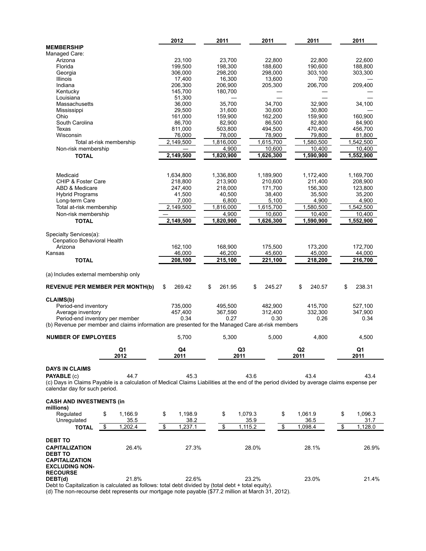|                                                                                                                                                                                                                          |                       | 2012                  | 2011              |                        | 2011              | 2011                  | 2011                  |
|--------------------------------------------------------------------------------------------------------------------------------------------------------------------------------------------------------------------------|-----------------------|-----------------------|-------------------|------------------------|-------------------|-----------------------|-----------------------|
| <b>MEMBERSHIP</b>                                                                                                                                                                                                        |                       |                       |                   |                        |                   |                       |                       |
| Managed Care:                                                                                                                                                                                                            |                       |                       |                   |                        |                   |                       | 22.600                |
| Arizona<br>Florida                                                                                                                                                                                                       |                       | 23,100<br>199,500     | 23,700<br>198,300 |                        | 22,800<br>188,600 | 22,800<br>190,600     | 188,800               |
| Georgia                                                                                                                                                                                                                  |                       | 306,000               | 298,200           |                        | 298,000           | 303,100               | 303,300               |
| Illinois                                                                                                                                                                                                                 |                       | 17.400                | 16,300            |                        | 13,600            | 700                   |                       |
| Indiana                                                                                                                                                                                                                  |                       | 206,300               | 206,900           |                        | 205,300           | 206,700               | 209,400               |
| Kentucky                                                                                                                                                                                                                 |                       | 145,700               | 180,700           |                        |                   |                       |                       |
| Louisiana                                                                                                                                                                                                                |                       | 51,300                |                   |                        |                   |                       |                       |
| Massachusetts                                                                                                                                                                                                            |                       | 36,000                | 35,700            |                        | 34,700            | 32,900                | 34,100                |
| Mississippi                                                                                                                                                                                                              |                       | 29,500                | 31,600            |                        | 30.600            | 30,800                |                       |
| Ohio<br>South Carolina                                                                                                                                                                                                   |                       | 161,000               | 159,900           |                        | 162,200           | 159,900               | 160,900               |
| Texas                                                                                                                                                                                                                    |                       | 86,700<br>811,000     | 82,900<br>503,800 |                        | 86,500<br>494,500 | 82,800<br>470,400     | 84,900<br>456,700     |
| Wisconsin                                                                                                                                                                                                                |                       | 76,000                | 78,000            |                        | 78,900            | 79,800                | 81,800                |
| Total at-risk membership                                                                                                                                                                                                 |                       | 2,149,500             | 1,816,000         |                        | 1,615,700         | 1,580,500             | 1,542,500             |
| Non-risk membership                                                                                                                                                                                                      |                       |                       | 4,900             |                        | 10,600            | 10,400                | 10,400                |
| <b>TOTAL</b>                                                                                                                                                                                                             |                       | 2,149,500             | 1,820,900         |                        | 1,626,300         | 1,590,900             | 1,552,900             |
|                                                                                                                                                                                                                          |                       |                       |                   |                        |                   |                       |                       |
| Medicaid                                                                                                                                                                                                                 |                       | 1,634,800             | 1,336,800         |                        | 1,189,900         | 1,172,400             | 1,169,700             |
| <b>CHIP &amp; Foster Care</b>                                                                                                                                                                                            |                       | 218,800               | 213,900           |                        | 210,600           | 211,400               | 208,900               |
| ABD & Medicare                                                                                                                                                                                                           |                       | 247,400               | 218,000           |                        | 171,700           | 156,300               | 123,800               |
| <b>Hybrid Programs</b>                                                                                                                                                                                                   |                       | 41,500                | 40,500            |                        | 38,400            | 35,500                | 35,200                |
| Long-term Care                                                                                                                                                                                                           |                       | 7,000                 | 6,800             |                        | 5,100             | 4,900                 | 4,900                 |
| Total at-risk membership                                                                                                                                                                                                 |                       | 2,149,500             | 1,816,000         |                        | 1,615,700         | 1,580,500             | 1,542,500             |
| Non-risk membership                                                                                                                                                                                                      |                       |                       | 4,900             |                        | 10,600            | 10,400                | 10,400                |
| <b>TOTAL</b>                                                                                                                                                                                                             |                       | 2,149,500             | 1,820,900         |                        | 1,626,300         | 1,590,900             | 1,552,900             |
| Specialty Services(a):<br>Cenpatico Behavioral Health<br>Arizona                                                                                                                                                         |                       | 162,100               | 168,900           |                        | 175,500           | 173,200               | 172,700               |
| Kansas                                                                                                                                                                                                                   |                       | 46,000                | 46,200            |                        | 45,600            | 45,000                | 44,000                |
| <b>TOTAL</b>                                                                                                                                                                                                             |                       | 208,100               | 215,100           |                        | 221,100           | 218,200               | 216,700               |
| (a) Includes external membership only<br><b>REVENUE PER MEMBER PER MONTH(b)</b>                                                                                                                                          |                       | \$<br>269.42          | \$<br>261.95      |                        | \$<br>245.27      | \$<br>240.57          | \$<br>238.31          |
| CLAIMS(b)<br>Period-end inventory                                                                                                                                                                                        |                       | 735,000               | 495,500           |                        | 482,900           | 415,700               | 527,100               |
| Average inventory                                                                                                                                                                                                        |                       | 457,400               | 367,590           |                        | 312,400           | 332,300               | 347,900               |
| Period-end inventory per member                                                                                                                                                                                          |                       | 0.34                  | 0.27              |                        | 0.30              | 0.26                  | 0.34                  |
| (b) Revenue per member and claims information are presented for the Managed Care at-risk members                                                                                                                         |                       |                       |                   |                        |                   |                       |                       |
| <b>NUMBER OF EMPLOYEES</b>                                                                                                                                                                                               |                       | 5,700                 | 5,300             |                        | 5,000             | 4,800                 | 4,500                 |
|                                                                                                                                                                                                                          | Q1<br>2012            | Q4<br>2011            |                   | Q <sub>3</sub><br>2011 |                   | ${\bf Q2}$<br>2011    | Q1<br>2011            |
|                                                                                                                                                                                                                          |                       |                       |                   |                        |                   |                       |                       |
| <b>DAYS IN CLAIMS</b><br><b>PAYABLE (c)</b><br>(c) Days in Claims Payable is a calculation of Medical Claims Liabilities at the end of the period divided by average claims expense per<br>calendar day for such period. | 44.7                  | 45.3                  |                   | 43.6                   |                   | 43.4                  | 43.4                  |
| <b>CASH AND INVESTMENTS (in</b><br>millions)                                                                                                                                                                             |                       |                       |                   |                        |                   |                       |                       |
| Regulated<br>Unregulated                                                                                                                                                                                                 | \$<br>1,166.9<br>35.5 | \$<br>1,198.9<br>38.2 | \$                | 1,079.3<br>35.9        |                   | \$<br>1,061.9<br>36.5 | \$<br>1,096.3<br>31.7 |
| <b>TOTAL</b>                                                                                                                                                                                                             | \$<br>1,202.4         | \$<br>1,237.1         | \$                | 1,115.2                |                   | \$<br>1,098.4         | \$<br>1,128.0         |
| <b>DEBT TO</b><br><b>CAPITALIZATION</b><br><b>DEBT TO</b><br><b>CAPITALIZATION</b>                                                                                                                                       | 26.4%                 | 27.3%                 |                   | 28.0%                  |                   | 28.1%                 | 26.9%                 |
| <b>EXCLUDING NON-</b><br><b>RECOURSE</b><br>DEBT(d)                                                                                                                                                                      | 21.8%                 | 22.6%                 |                   | 23.2%                  |                   | 23.0%                 | 21.4%                 |

Debt to Capitalization is calculated as follows: total debt divided by (total debt + total equity).

(d) The non-recourse debt represents our mortgage note payable (\$77.2 million at March 31, 2012).